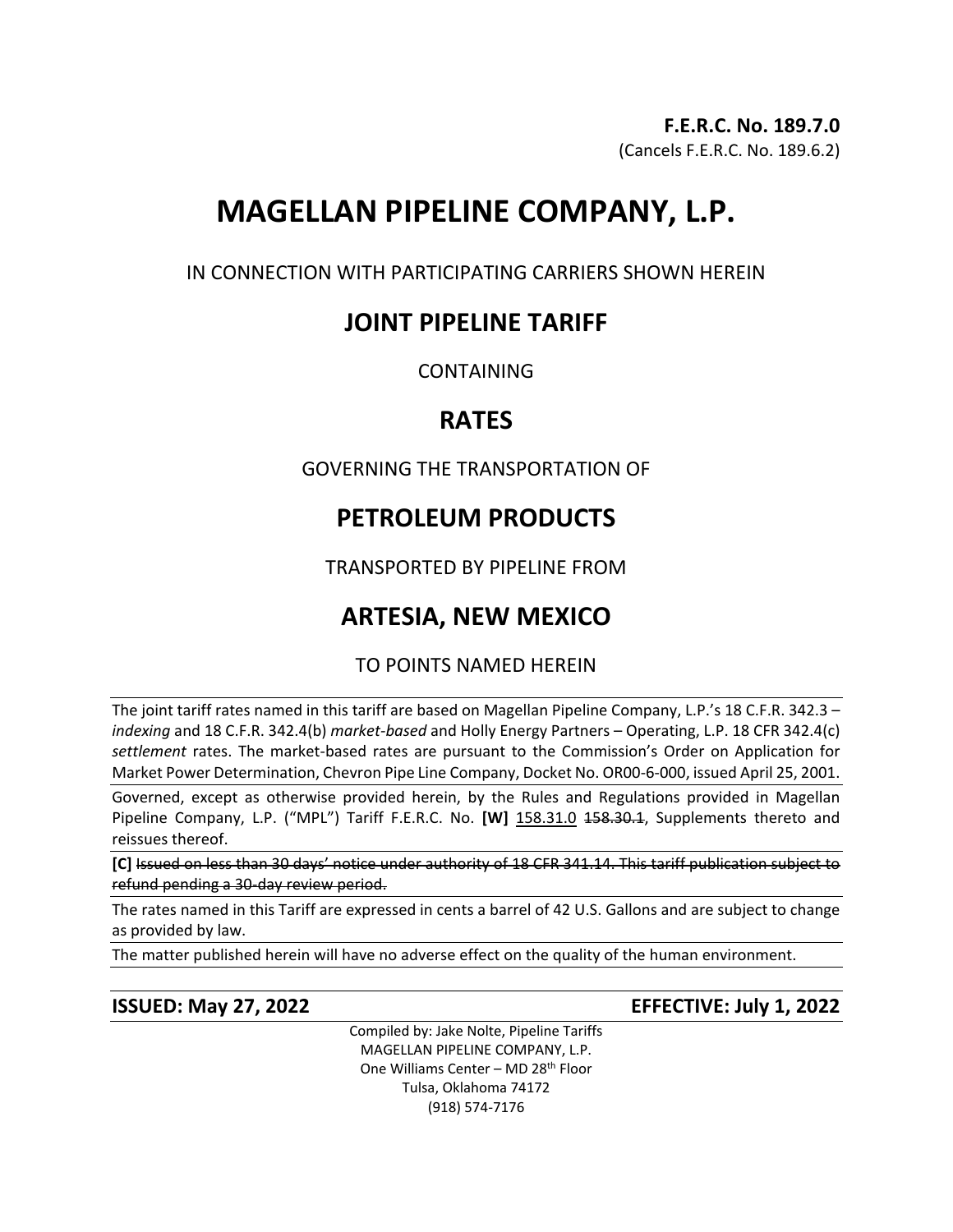# **MAGELLAN PIPELINE COMPANY, L.P.**

IN CONNECTION WITH PARTICIPATING CARRIERS SHOWN HEREIN

## **JOINT PIPELINE TARIFF**

**CONTAINING** 

## **RATES**

GOVERNING THE TRANSPORTATION OF

# **PETROLEUM PRODUCTS**

TRANSPORTED BY PIPELINE FROM

# **ARTESIA, NEW MEXICO**

## TO POINTS NAMED HEREIN

The joint tariff rates named in this tariff are based on Magellan Pipeline Company, L.P.'s 18 C.F.R. 342.3 – *indexing* and 18 C.F.R. 342.4(b) *market-based* and Holly Energy Partners – Operating, L.P. 18 CFR 342.4(c) *settlement* rates. The market-based rates are pursuant to the Commission's Order on Application for Market Power Determination, Chevron Pipe Line Company, Docket No. OR00-6-000, issued April 25, 2001.

Governed, except as otherwise provided herein, by the Rules and Regulations provided in Magellan Pipeline Company, L.P. ("MPL") Tariff F.E.R.C. No. **[W]** 158.31.0 158.30.1, Supplements thereto and reissues thereof.

**[C]** Issued on less than 30 days' notice under authority of 18 CFR 341.14. This tariff publication subject to refund pending a 30-day review period.

The rates named in this Tariff are expressed in cents a barrel of 42 U.S. Gallons and are subject to change as provided by law.

The matter published herein will have no adverse effect on the quality of the human environment.

## **ISSUED: May 27, 2022 EFFECTIVE: July 1, 2022**

Compiled by: Jake Nolte, Pipeline Tariffs MAGELLAN PIPELINE COMPANY, L.P. One Williams Center – MD 28th Floor Tulsa, Oklahoma 74172 (918) 574-7176